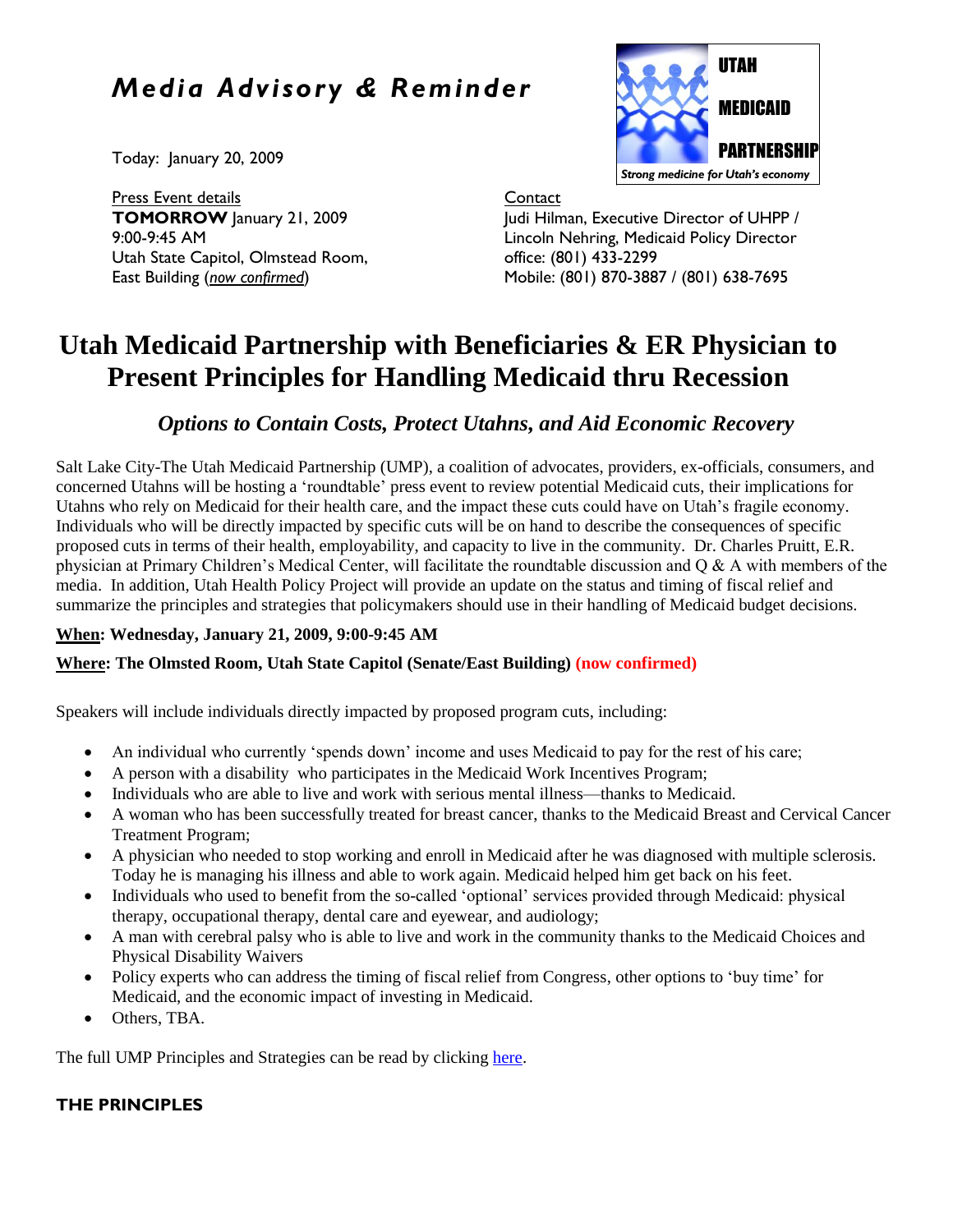# *Media Advisory & Reminder*

Today: January 20, 2009

Press Event details **TOMORROW** January 21, 2009 9:00-9:45 AM Utah State Capitol, Olmstead Room, East Building (*now confirmed*)



**Contact** 

Judi Hilman, Executive Director of UHPP / Lincoln Nehring, Medicaid Policy Director office: (801) 433-2299 Mobile: (801) 870-3887 / (801) 638-7695

# **Utah Medicaid Partnership with Beneficiaries & ER Physician to Present Principles for Handling Medicaid thru Recession**

# *Options to Contain Costs, Protect Utahns, and Aid Economic Recovery*

Salt Lake City-The Utah Medicaid Partnership (UMP), a coalition of advocates, providers, ex-officials, consumers, and concerned Utahns will be hosting a 'roundtable' press event to review potential Medicaid cuts, their implications for Utahns who rely on Medicaid for their health care, and the impact these cuts could have on Utah's fragile economy. Individuals who will be directly impacted by specific cuts will be on hand to describe the consequences of specific proposed cuts in terms of their health, employability, and capacity to live in the community. Dr. Charles Pruitt, E.R. physician at Primary Children's Medical Center, will facilitate the roundtable discussion and Q & A with members of the media. In addition, Utah Health Policy Project will provide an update on the status and timing of fiscal relief and summarize the principles and strategies that policymakers should use in their handling of Medicaid budget decisions.

## **When: Wednesday, January 21, 2009, 9:00-9:45 AM**

## **Where: The Olmsted Room, Utah State Capitol (Senate/East Building) (now confirmed)**

Speakers will include individuals directly impacted by proposed program cuts, including:

- An individual who currently 'spends down' income and uses Medicaid to pay for the rest of his care;
- A person with a disability who participates in the Medicaid Work Incentives Program;
- Individuals who are able to live and work with serious mental illness—thanks to Medicaid.
- A woman who has been successfully treated for breast cancer, thanks to the Medicaid Breast and Cervical Cancer Treatment Program;
- A physician who needed to stop working and enroll in Medicaid after he was diagnosed with multiple sclerosis. Today he is managing his illness and able to work again. Medicaid helped him get back on his feet.
- Individuals who used to benefit from the so-called 'optional' services provided through Medicaid: physical therapy, occupational therapy, dental care and eyewear, and audiology;
- A man with cerebral palsy who is able to live and work in the community thanks to the Medicaid Choices and Physical Disability Waivers
- Policy experts who can address the timing of fiscal relief from Congress, other options to 'buy time' for Medicaid, and the economic impact of investing in Medicaid.
- Others, TBA.

The full UMP Principles and Strategies can be read by clickin[g here.](http://www.healthpolicyproject.org/Publications_files/Medicaid/MedicaidBudgetPrincipalsUMPfinal1-12-09.pdf)

## **THE PRINCIPLES**